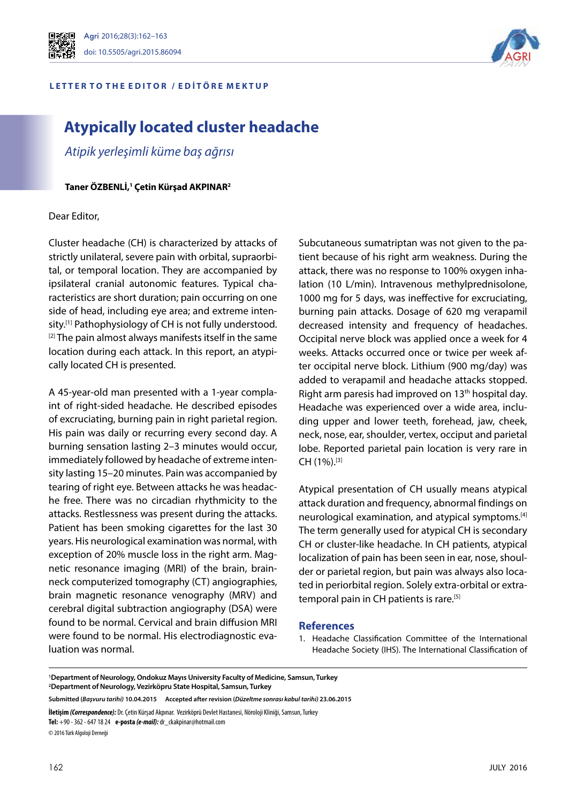

## Agri 2016;28(3):162–163 doi: 10.5505/agri.2015.86094

#### L E T T E R T O T H E E D I T O R / E D I T Ö R E M E K T U P



# **Atypically located cluster headache**

*Atipik yerleşimli küme baş ağrısı*

**Taner ÖZBENLİ,1 Çetin Kürşad AKPINAR2**

### Dear Editor,

Cluster headache (CH) is characterized by attacks of strictly unilateral, severe pain with orbital, supraorbital, or temporal location. They are accompanied by ipsilateral cranial autonomic features. Typical characteristics are short duration; pain occurring on one side of head, including eye area; and extreme intensity.<sup>[1]</sup> Pathophysiology of CH is not fully understood. <sup>[2]</sup> The pain almost always manifests itself in the same location during each attack. In this report, an atypically located CH is presented.

A 45-year-old man presented with a 1-year complaint of right-sided headache. He described episodes of excruciating, burning pain in right parietal region. His pain was daily or recurring every second day. A burning sensation lasting 2–3 minutes would occur, immediately followed by headache of extreme intensity lasting 15–20 minutes. Pain was accompanied by tearing of right eye. Between attacks he was headache free. There was no circadian rhythmicity to the attacks. Restlessness was present during the attacks. Patient has been smoking cigarettes for the last 30 years. His neurological examination was normal, with exception of 20% muscle loss in the right arm. Magnetic resonance imaging (MRI) of the brain, brainneck computerized tomography (CT) angiographies, brain magnetic resonance venography (MRV) and cerebral digital subtraction angiography (DSA) were found to be normal. Cervical and brain diffusion MRI were found to be normal. His electrodiagnostic evaluation was normal.

Subcutaneous sumatriptan was not given to the patient because of his right arm weakness. During the attack, there was no response to 100% oxygen inhalation (10 L/min). Intravenous methylprednisolone, 1000 mg for 5 days, was ineffective for excruciating, burning pain attacks. Dosage of 620 mg verapamil decreased intensity and frequency of headaches. Occipital nerve block was applied once a week for 4 weeks. Attacks occurred once or twice per week after occipital nerve block. Lithium (900 mg/day) was added to verapamil and headache attacks stopped. Right arm paresis had improved on 13<sup>th</sup> hospital day. Headache was experienced over a wide area, including upper and lower teeth, forehead, jaw, cheek, neck, nose, ear, shoulder, vertex, occiput and parietal lobe. Reported parietal pain location is very rare in CH (1%).[3]

Atypical presentation of CH usually means atypical attack duration and frequency, abnormal findings on neurological examination, and atypical symptoms.[4] The term generally used for atypical CH is secondary CH or cluster-like headache. In CH patients, atypical localization of pain has been seen in ear, nose, shoulder or parietal region, but pain was always also located in periorbital region. Solely extra-orbital or extratemporal pain in CH patients is rare.<sup>[5]</sup>

### **References**

1. Headache Classification Committee of the International Headache Society (IHS). The International Classification of

**İletişim***(Correspondence):* Dr. Çetin Kürşad Akpınar. Vezirköprü Devlet Hastanesi, Nöroloji Kliniği, Samsun, Turkey **Tel:** +90 - 362 - 647 18 24 **e-posta** *(e-mail):* dr\_ckakpinar@hotmail.com

© 2016 Türk Algoloji Derneği

**<sup>1</sup> Department of Neurology, Ondokuz Mayıs University Faculty of Medicine, Samsun, Turkey 2 Department of Neurology, Vezirköpru State Hospital, Samsun, Turkey**

**Submitted (***Başvuru tarihi)* **10.04.2015 Accepted after revision (***Düzeltme sonrası kabul tarihi)* **23.06.2015**